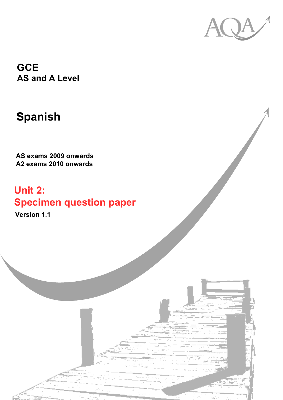

**GCE AS and A Level**

# **Spanish**

**AS exams 2009 onwards A2 exams 2010 onwards**

# **Unit 2: Specimen question paper**

**Version 1.1**

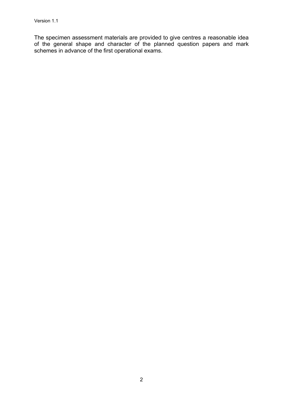The specimen assessment materials are provided to give centres a reasonable idea of the general shape and character of the planned question papers and mark schemes in advance of the first operational exams.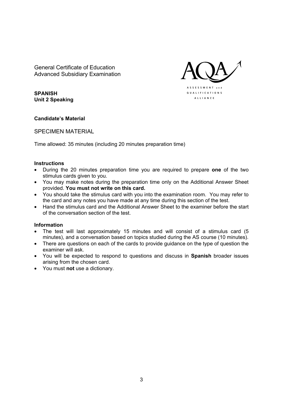General Certificate of Education Advanced Subsidiary Examination



**SPANISH Unit 2 Speaking** 

#### Candidate's Material

SPECIMEN MATERIAL

Time allowed: 35 minutes (including 20 minutes preparation time)

#### **Instructions**

- During the 20 minutes preparation time you are required to prepare **one** of the two stimulus cards given to you.
- You may make notes during the preparation time only on the Additional Answer Sheet provided. **You must not write on this card.**
- You should take the stimulus card with you into the examination room. You may refer to the card and any notes you have made at any time during this section of the test.
- Hand the stimulus card and the Additional Answer Sheet to the examiner before the start of the conversation section of the test.

#### **Information**

- The test will last approximately 15 minutes and will consist of a stimulus card (5 minutes), and a conversation based on topics studied during the AS course (10 minutes).
- There are questions on each of the cards to provide guidance on the type of question the examiner will ask.
- You will be expected to respond to questions and discuss in **Spanish** broader issues arising from the chosen card.
- You must **not** use a dictionary.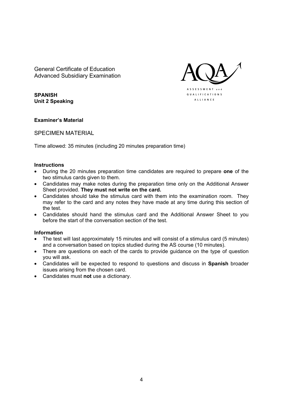General Certificate of Education Advanced Subsidiary Examination



**SPANISH Unit 2 Speaking** 

#### **Examinerís Material**

SPECIMEN MATERIAL

Time allowed: 35 minutes (including 20 minutes preparation time)

#### **Instructions**

- During the 20 minutes preparation time candidates are required to prepare **one** of the two stimulus cards given to them.
- Candidates may make notes during the preparation time only on the Additional Answer Sheet provided. **They must not write on the card.**
- Candidates should take the stimulus card with them into the examination room. They may refer to the card and any notes they have made at any time during this section of the test.
- Candidates should hand the stimulus card and the Additional Answer Sheet to you before the start of the conversation section of the test.

#### **Information**

- The test will last approximately 15 minutes and will consist of a stimulus card (5 minutes) and a conversation based on topics studied during the AS course (10 minutes).
- There are questions on each of the cards to provide guidance on the type of question you will ask.
- Candidates will be expected to respond to questions and discuss in **Spanish** broader issues arising from the chosen card.
- Candidates must **not** use a dictionary.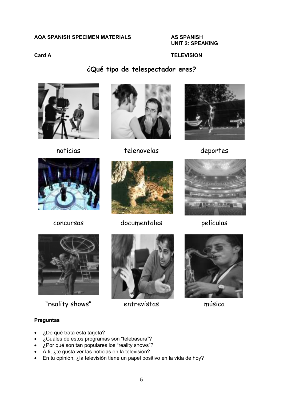#### **AQA SPANISH SPECIMEN MATERIALS AS SPANISH**

 **UNIT 2: SPEAKING** 

### **Card A TELEVISION**



**øQuÈ tipo de telespectador eres?** 

noticias telenovelas deportes







concursos documentales películas





"reality shows" entrevistas música





- øDe quÈ trata esta tarjeta?
- ¿Cuáles de estos programas son "telebasura"?
- $\mu$ Por qué son tan populares los "reality shows"?
- A ti, *i* te gusta ver las noticias en la televisión?
- En tu opinión, ¿la televisión tiene un papel positivo en la vida de hoy?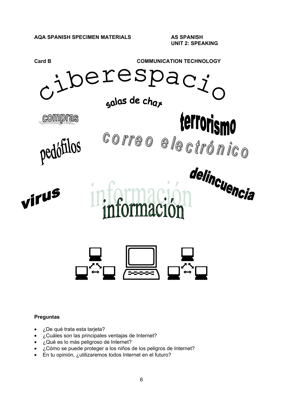

- ¿De qué trata esta tarjeta?
- ¿Cuáles son las principales ventajas de Internet?
- ¿Qué es lo más peligroso de Internet?
- ¿Cómo se puede proteger a los niños de los peligros de Internet?
- En tu opinión, ¿utilizaremos todos Internet en el futuro?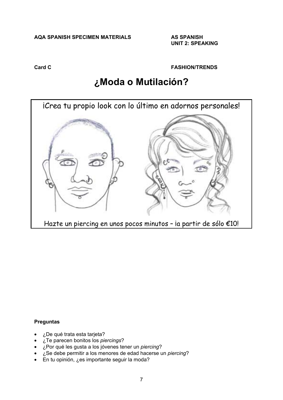#### **AQA SPANISH SPECIMEN MATERIALS AS SPANISH**

 **UNIT 2: SPEAKING** 

**Card C FASHION/TRENDS** 

## **øModa o MutilaciÛn?**



- øDe quÈ trata esta tarjeta?
- øTe parecen bonitos los *piercings*?
- ¿Por qué les gusta a los jóvenes tener un *piercing*?
- øSe debe permitir a los menores de edad hacerse un *piercing*?
- En tu opinión, ¿es importante seguir la moda?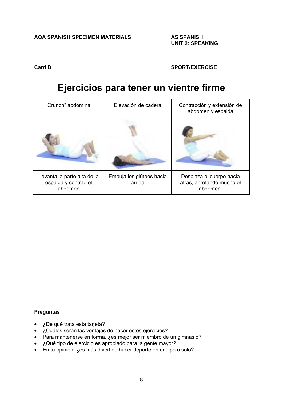#### **Card D SPORT/EXERCISE**

### **Ejercicios para tener un vientre firme**

| "Crunch" abdominal                                             | Elevación de cadera                | Contracción y extensión de<br>abdomen y espalda                   |
|----------------------------------------------------------------|------------------------------------|-------------------------------------------------------------------|
|                                                                |                                    |                                                                   |
| Levanta la parte alta de la<br>espalda y contrae el<br>abdomen | Empuja los glúteos hacia<br>arriba | Desplaza el cuerpo hacia<br>atrás, apretando mucho el<br>abdomen. |

- ¿De qué trata esta tarjeta?
- ¿Cuáles serán las ventajas de hacer estos ejercicios?
- Para mantenerse en forma, ¿es mejor ser miembro de un gimnasio?
- ¿Qué tipo de ejercicio es apropiado para la gente mayor?
- En tu opinión, ¿es más divertido hacer deporte en equipo o solo?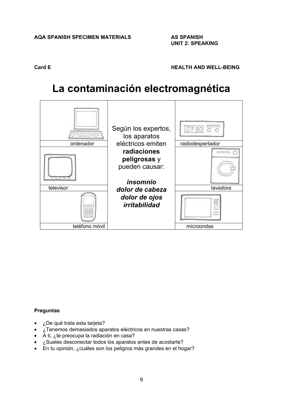**Card E Card E HEALTH AND WELL-BEING** 

## La contaminación electromagnética



- ¿De qué trata esta tarjeta?
- ¿Tenemos demasiados aparatos eléctricos en nuestras casas?
- A ti,  $\zeta$ te preocupa la radiación en casa?
- ¿Sueles desconectar todos los aparatos antes de acostarte?
- En tu opinión, ¿cuáles son los peligros más grandes en el hogar?